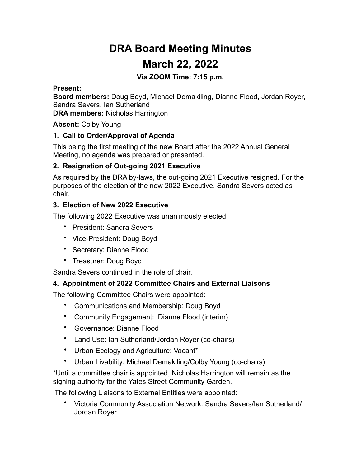# **DRA Board Meeting Minutes March 22, 2022**

### **Via ZOOM Time: 7:15 p.m.**

#### **Present:**

**Board members:** Doug Boyd, Michael Demakiling, Dianne Flood, Jordan Royer, Sandra Severs, Ian Sutherland

**DRA members:** Nicholas Harrington

**Absent:** Colby Young

#### **1. Call to Order/Approval of Agenda**

This being the first meeting of the new Board after the 2022 Annual General Meeting, no agenda was prepared or presented.

#### **2. Resignation of Out-going 2021 Executive**

As required by the DRA by-laws, the out-going 2021 Executive resigned. For the purposes of the election of the new 2022 Executive, Sandra Severs acted as chair.

#### **3. Election of New 2022 Executive**

The following 2022 Executive was unanimously elected:

- President: Sandra Severs
- Vice-President: Doug Boyd
- Secretary: Dianne Flood
- Treasurer: Doug Boyd

Sandra Severs continued in the role of chair.

## **4. Appointment of 2022 Committee Chairs and External Liaisons**

The following Committee Chairs were appointed:

- Communications and Membership: Doug Boyd
- Community Engagement: Dianne Flood (interim)
- Governance: Dianne Flood
- Land Use: Ian Sutherland/Jordan Royer (co-chairs)
- Urban Ecology and Agriculture: Vacant\*
- Urban Livability: Michael Demakiling/Colby Young (co-chairs)

\*Until a committee chair is appointed, Nicholas Harrington will remain as the signing authority for the Yates Street Community Garden.

The following Liaisons to External Entities were appointed:

• Victoria Community Association Network: Sandra Severs/Ian Sutherland/ Jordan Royer